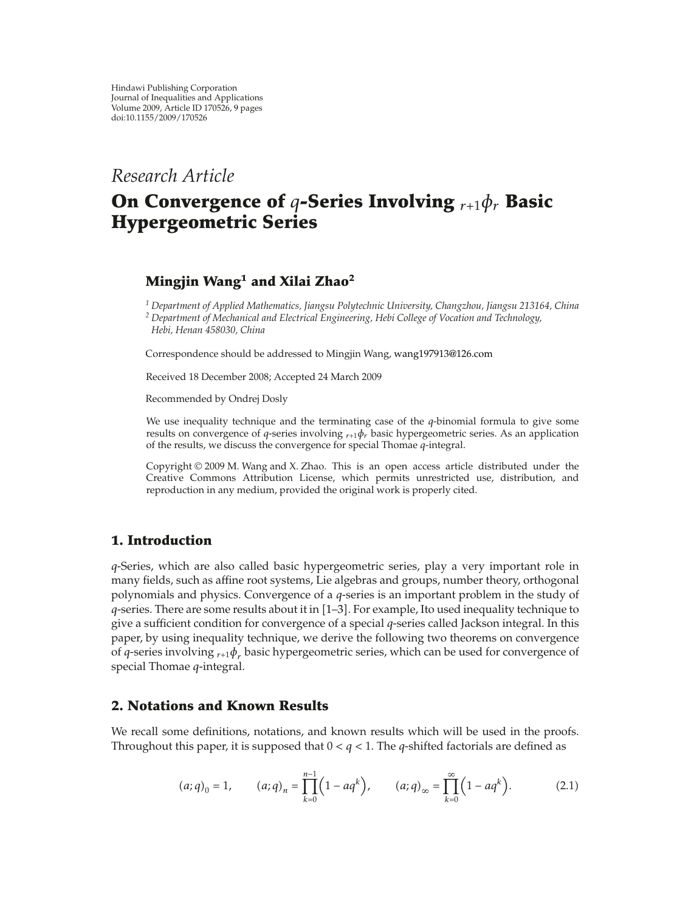# *Research Article*

# **On Convergence of** *q***-Series Involving** *<sup>r</sup>*-<sup>1</sup>*φr* **Basic Hypergeometric Series**

# **Mingjin Wang<sup>1</sup> and Xilai Zhao<sup>2</sup>**

*<sup>1</sup> Department of Applied Mathematics, Jiangsu Polytechnic University, Changzhou, Jiangsu 213164, China <sup>2</sup> Department of Mechanical and Electrical Engineering, Hebi College of Vocation and Technology,*

*Hebi, Henan 458030, China*

Correspondence should be addressed to Mingjin Wang, wang197913@126.com

Received 18 December 2008; Accepted 24 March 2009

Recommended by Ondrej Dosly

We use inequality technique and the terminating case of the *q*-binomial formula to give some results on convergence of *q*-series involving *<sup>r</sup>*-<sup>1</sup>*φr* basic hypergeometric series. As an application of the results, we discuss the convergence for special Thomae *q*-integral.

Copyright  $@$  2009 M. Wang and X. Zhao. This is an open access article distributed under the Creative Commons Attribution License, which permits unrestricted use, distribution, and reproduction in any medium, provided the original work is properly cited.

## **1. Introduction**

*q*-Series, which are also called basic hypergeometric series, play a very important role in many fields, such as affine root systems, Lie algebras and groups, number theory, orthogonal polynomials and physics. Convergence of a *q*-series is an important problem in the study of *q*-series. There are some results about it in [1–3]. For example, Ito used inequality technique to give a sufficient condition for convergence of a special *q*-series called Jackson integral. In this paper, by using inequality technique, we derive the following two theorems on convergence of *q*-series involving  ${}_{r+1}\phi_r$  basic hypergeometric series, which can be used for convergence of special Thomae *q*-integral.

## **2. Notations and Known Results**

We recall some definitions, notations, and known results which will be used in the proofs. Throughout this paper, it is supposed that  $0 < q < 1$ . The *q*-shifted factorials are defined as

$$
(a;q)_0 = 1
$$
,  $(a;q)_n = \prod_{k=0}^{n-1} (1 - aq^k)$ ,  $(a;q)_\infty = \prod_{k=0}^{\infty} (1 - aq^k)$ . (2.1)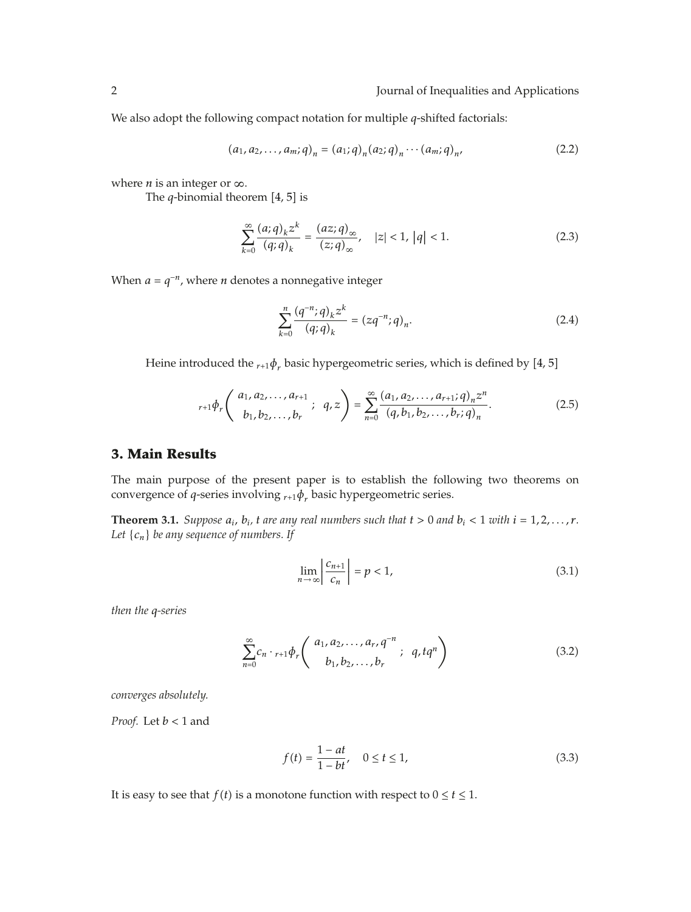We also adopt the following compact notation for multiple *q*-shifted factorials:

$$
(a_1, a_2, \dots, a_m; q)_n = (a_1; q)_n (a_2; q)_n \cdots (a_m; q)_n,
$$
\n(2.2)

where *n* is an integer or  $\infty$ .

The  $q$ -binomial theorem  $[4, 5]$  is

$$
\sum_{k=0}^{\infty} \frac{(a;q)_k z^k}{(q;q)_k} = \frac{(az;q)_{\infty}}{(z;q)_{\infty}}, \quad |z| < 1, |q| < 1. \tag{2.3}
$$

When  $a = q^{-n}$ , where *n* denotes a nonnegative integer

$$
\sum_{k=0}^{n} \frac{(q^{-n};q)_k z^k}{(q;q)_k} = (zq^{-n};q)_n.
$$
\n(2.4)

Heine introduced the  $r_{r+1}\phi_r$  basic hypergeometric series, which is defined by [4, 5]

$$
{}_{r+1}\phi_r\left(\begin{array}{c} a_1, a_2, \dots, a_{r+1} \\ b_1, b_2, \dots, b_r \end{array}; q, z\right) = \sum_{n=0}^{\infty} \frac{(a_1, a_2, \dots, a_{r+1}; q)_n z^n}{(q, b_1, b_2, \dots, b_r; q)_n}.
$$
 (2.5)

#### **3. Main Results**

The main purpose of the present paper is to establish the following two theorems on convergence of *q*-series involving *<sup>r</sup>*-<sup>1</sup>*φr* basic hypergeometric series.

**Theorem 3.1.** *Suppose*  $a_i$ *,*  $b_i$ *,*  $t$  *are any real numbers such that*  $t > 0$  *and*  $b_i < 1$  *with*  $i = 1, 2, ..., r$ *. Let* {*cn*} *be any sequence of numbers. If*

$$
\lim_{n \to \infty} \left| \frac{c_{n+1}}{c_n} \right| = p < 1,\tag{3.1}
$$

*then the q-series*

$$
\sum_{n=0}^{\infty} c_n \cdot {}_{r+1} \phi_r \binom{a_1, a_2, \dots, a_r, q^{-n}}{b_1, b_2, \dots, b_r}; \ q, tq^n \tag{3.2}
$$

*converges absolutely.*

*Proof.* Let *b <* 1 and

$$
f(t) = \frac{1 - at}{1 - bt}, \quad 0 \le t \le 1,
$$
\n(3.3)

It is easy to see that *f(t)* is a monotone function with respect to  $0 \le t \le 1$ .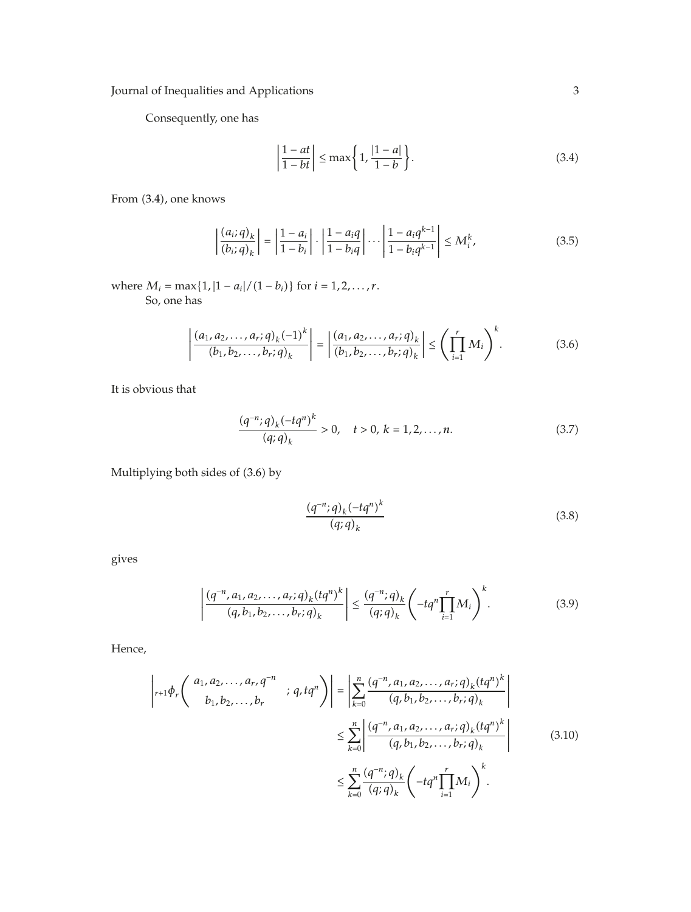Consequently, one has

$$
\left|\frac{1-at}{1-bt}\right| \le \max\left\{1, \frac{|1-a|}{1-b}\right\}.
$$
\n(3.4)

From  $(3.4)$ , one knows

$$
\left| \frac{(a_i;q)_k}{(b_i;q)_k} \right| = \left| \frac{1-a_i}{1-b_i} \right| \cdot \left| \frac{1-a_iq}{1-b_iq} \right| \cdots \left| \frac{1-a_iq^{k-1}}{1-b_iq^{k-1}} \right| \le M_i^k,
$$
\n(3.5)

where  $M_i = \max\{1, |1 - a_i|/(1 - b_i)\}$  for  $i = 1, 2, ..., r$ . So, one has

$$
\left| \frac{(a_1, a_2, \dots, a_r; q)_k (-1)^k}{(b_1, b_2, \dots, b_r; q)_k} \right| = \left| \frac{(a_1, a_2, \dots, a_r; q)_k}{(b_1, b_2, \dots, b_r; q)_k} \right| \leq \left( \prod_{i=1}^r M_i \right)^k.
$$
 (3.6)

It is obvious that

$$
\frac{(q^{-n};q)_k(-tq^n)^k}{(q;q)_k} > 0, \quad t > 0, \ k = 1, 2, ..., n. \tag{3.7}
$$

Multiplying both sides of (3.6) by

$$
\frac{(q^{-n};q)_k(-tq^n)^k}{(q;q)_k} \tag{3.8}
$$

gives

$$
\left| \frac{(q^{-n}, a_1, a_2, \dots, a_r; q)_k (tq^n)^k}{(q, b_1, b_2, \dots, b_r; q)_k} \right| \leq \frac{(q^{-n}; q)_k}{(q; q)_k} \left( -tq^n \prod_{i=1}^r M_i \right)^k.
$$
 (3.9)

Hence,

$$
\begin{aligned}\n\left| r+1 \phi_r \left( \begin{array}{c} a_1, a_2, \dots, a_r, q^{-n} \\ b_1, b_2, \dots, b_r \end{array} \right) ; q, tq^n \right) \right| &= \left| \sum_{k=0}^n \frac{(q^{-n}, a_1, a_2, \dots, a_r; q)_k (tq^n)^k}{(q, b_1, b_2, \dots, b_r; q)_k} \right| \\
&\leq \sum_{k=0}^n \left| \frac{(q^{-n}, a_1, a_2, \dots, a_r; q)_k (tq^n)^k}{(q, b_1, b_2, \dots, b_r; q)_k} \right| \\
&\leq \sum_{k=0}^n \frac{(q^{-n}; q)_k}{(q; q)_k} \left( -tq^n \prod_{i=1}^r M_i \right)^k.\n\end{aligned} \tag{3.10}
$$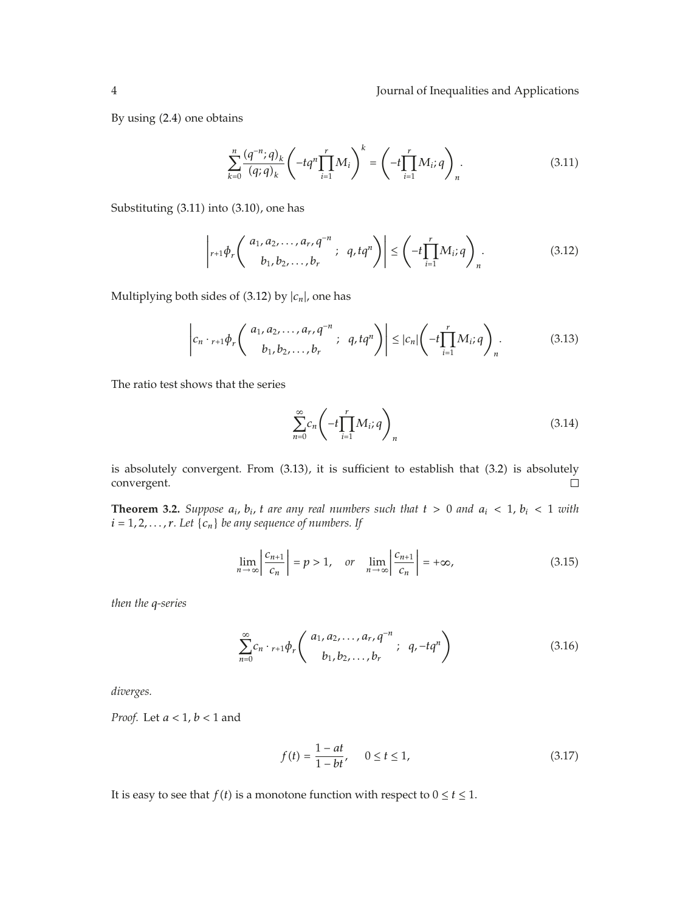By using  $(2.4)$  one obtains

$$
\sum_{k=0}^{n} \frac{(q^{-n};q)_k}{(q;q)_k} \left( -t q^n \prod_{i=1}^{r} M_i \right)^k = \left( -t \prod_{i=1}^{r} M_i; q \right)_n.
$$
 (3.11)

Substituting  $(3.11)$  into  $(3.10)$ , one has

$$
\left| r+1 \phi_r \left( \begin{array}{c} a_1, a_2, \dots, a_r, q^{-n} \\ b_1, b_2, \dots, b_r \end{array} ; q, tq^n \right) \right| \leq \left( -t \prod_{i=1}^r M_i; q \right)_n.
$$
 (3.12)

Multiplying both sides of  $(3.12)$  by  $|c_n|$ , one has

$$
\left|c_n \cdot {}_{r+1}\phi_r \left(\begin{array}{c} a_1, a_2, \ldots, a_r, q^{-n} \\ b_1, b_2, \ldots, b_r \end{array}; q, tq^n \right) \right| \leq |c_n| \left( -t \prod_{i=1}^r M_i; q \right)_n.
$$
 (3.13)

The ratio test shows that the series

$$
\sum_{n=0}^{\infty} c_n \left( -t \prod_{i=1}^{r} M_i; q \right)_n \tag{3.14}
$$

is absolutely convergent. From  $(3.13)$ , it is sufficient to establish that  $(3.2)$  is absolutely convergent.  $\Box$ 

**Theorem 3.2.** *Suppose*  $a_i$ ,  $b_i$ ,  $t$  are any real numbers such that  $t > 0$  and  $a_i < 1$ ,  $b_i < 1$  with  $i = 1, 2, \ldots, r$ *. Let*  $\{c_n\}$  *be any sequence of numbers. If* 

$$
\lim_{n \to \infty} \left| \frac{c_{n+1}}{c_n} \right| = p > 1, \quad or \quad \lim_{n \to \infty} \left| \frac{c_{n+1}}{c_n} \right| = +\infty,
$$
\n(3.15)

*then the q-series*

$$
\sum_{n=0}^{\infty} c_n \cdot {}_{r+1} \phi_r \left( \begin{array}{c} a_1, a_2, \dots, a_r, q^{-n} \\ b_1, b_2, \dots, b_r \end{array} ; \ q, -t q^n \right) \tag{3.16}
$$

*diverges.*

*Proof.* Let *a <* 1, *b <* 1 and

$$
f(t) = \frac{1 - at}{1 - bt}, \qquad 0 \le t \le 1,
$$
\n(3.17)

It is easy to see that *f(t)* is a monotone function with respect to  $0 \le t \le 1$ .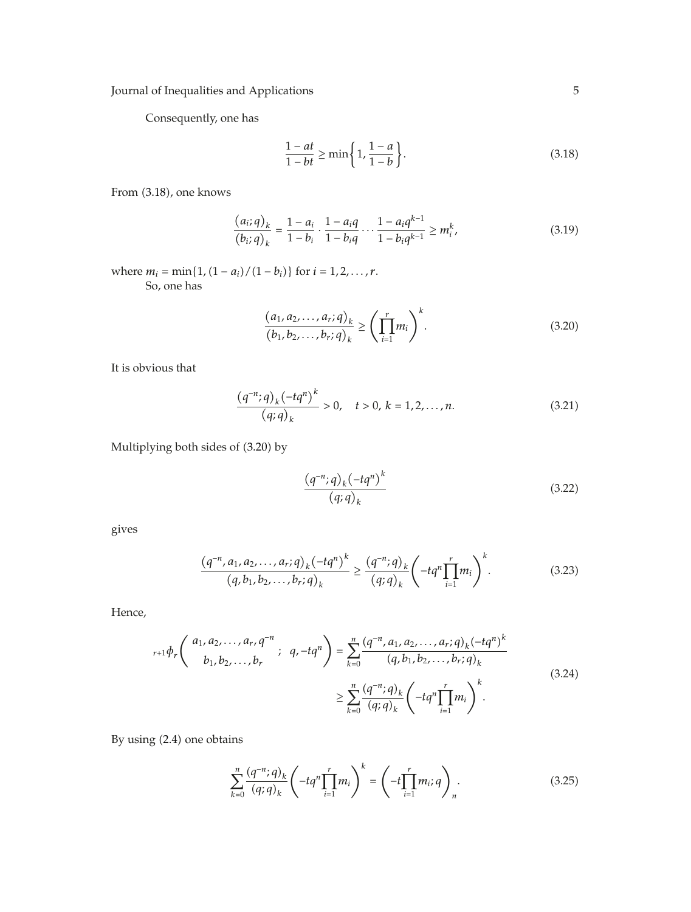Consequently, one has

$$
\frac{1-at}{1-bt} \ge \min\left\{1, \frac{1-a}{1-b}\right\}.\tag{3.18}
$$

From  $(3.18)$ , one knows

$$
\frac{(a_i;q)_k}{(b_i;q)_k} = \frac{1-a_i}{1-b_i} \cdot \frac{1-a_iq}{1-b_iq} \cdots \frac{1-a_iq^{k-1}}{1-b_iq^{k-1}} \ge m_i^k,
$$
\n(3.19)

where  $m_i = \min\{1, (1 - a_i)/(1 - b_i)\}$  for  $i = 1, 2, ..., r$ . So, one has

$$
\frac{(a_1, a_2, \dots, a_r; q)_k}{(b_1, b_2, \dots, b_r; q)_k} \ge \left(\prod_{i=1}^r m_i\right)^k.
$$
\n(3.20)

It is obvious that

$$
\frac{(q^{-n};q)_k(-tq^n)^k}{(q;q)_k} > 0, \quad t > 0, \ k = 1, 2, ..., n. \tag{3.21}
$$

Multiplying both sides of (3.20) by

$$
\frac{\left(q^{-n};q\right)_k\left(-tq^n\right)^k}{\left(q;q\right)_k} \tag{3.22}
$$

gives

$$
\frac{(q^{-n}, a_1, a_2, \dots, a_r; q)_k (-tq^n)^k}{(q, b_1, b_2, \dots, b_r; q)_k} \ge \frac{(q^{-n}; q)_k}{(q; q)_k} \left( -tq^n \prod_{i=1}^r m_i \right)^k.
$$
 (3.23)

Hence,

$$
r_{r+1}\phi_r\left(\begin{array}{c} a_1, a_2, \dots, a_r, q^{-n} \\ b_1, b_2, \dots, b_r \end{array}; q, -t q^n\right) = \sum_{k=0}^n \frac{(q^{-n}, a_1, a_2, \dots, a_r; q)_k (-t q^n)^k}{(q, b_1, b_2, \dots, b_r; q)_k}
$$
\n
$$
\geq \sum_{k=0}^n \frac{(q^{-n}; q)_k}{(q; q)_k} \left(-t q^n \prod_{i=1}^r m_i\right)^k.
$$
\n(3.24)

By using (2.4) one obtains

$$
\sum_{k=0}^{n} \frac{(q^{-n};q)_k}{(q;q)_k} \left( -t q^n \prod_{i=1}^{r} m_i \right)^k = \left( -t \prod_{i=1}^{r} m_i; q \right)_n.
$$
 (3.25)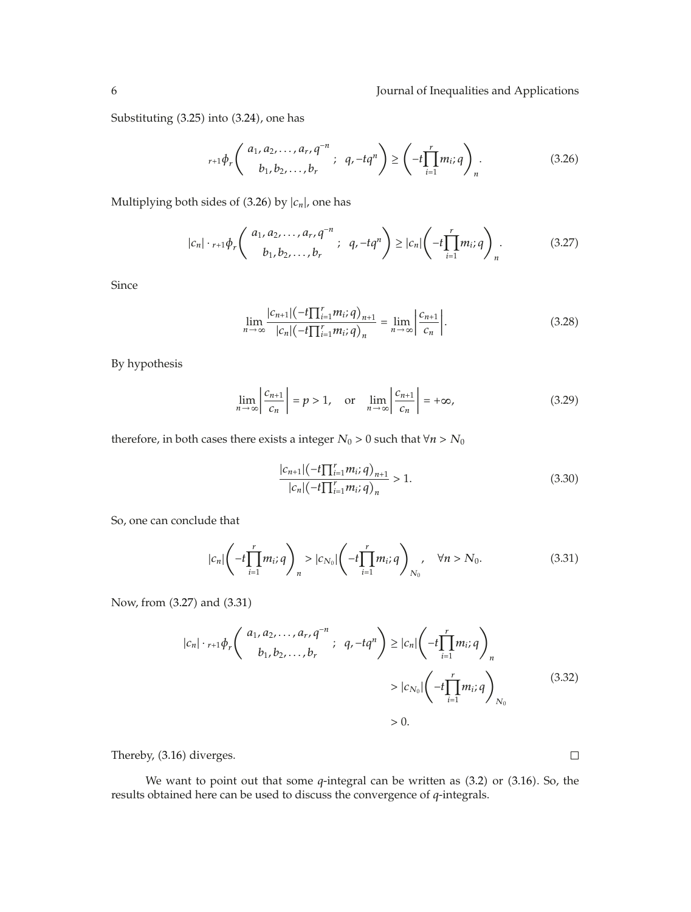Substituting  $(3.25)$  into  $(3.24)$ , one has

$$
{}_{r+1}\phi_r\left(\begin{array}{c} a_1, a_2, \dots, a_r, q^{-n} \\ b_1, b_2, \dots, b_r \end{array}; q, -tq^n\right) \geq \left(-t\prod_{i=1}^r m_i; q\right)_n.
$$
 (3.26)

Multiplying both sides of  $(3.26)$  by  $|c_n|$ , one has

$$
|c_n| \cdot_{r+1} \phi_r \left( \begin{array}{c} a_1, a_2, \dots, a_r, q^{-n} \\ b_1, b_2, \dots, b_r \end{array} ; q, -t q^n \right) \ge |c_n| \left( -t \prod_{i=1}^r m_i; q \right)_n.
$$
 (3.27)

Since

$$
\lim_{n \to \infty} \frac{|c_{n+1}| (-t \prod_{i=1}^r m_i; q)_{n+1}}{|c_n| (-t \prod_{i=1}^r m_i; q)_n} = \lim_{n \to \infty} \left| \frac{c_{n+1}}{c_n} \right|.
$$
\n(3.28)

By hypothesis

$$
\lim_{n \to \infty} \left| \frac{c_{n+1}}{c_n} \right| = p > 1, \quad \text{or} \quad \lim_{n \to \infty} \left| \frac{c_{n+1}}{c_n} \right| = +\infty,
$$
\n(3.29)

therefore, in both cases there exists a integer  $N_0 > 0$  such that  $\forall n > N_0$ 

$$
\frac{|c_{n+1}|(-t\prod_{i=1}^{r}m_i;q)_{n+1}}{|c_n|(-t\prod_{i=1}^{r}m_i;q)_n} > 1.
$$
\n(3.30)

So, one can conclude that

$$
|c_n| \left( -t \prod_{i=1}^r m_i; q \right)_n > |c_{N_0}| \left( -t \prod_{i=1}^r m_i; q \right)_{N_0}, \quad \forall n > N_0.
$$
 (3.31)

Now, from (3.27) and (3.31)

$$
|c_n| \cdot {}_{r+1}\phi_r \left( \begin{array}{c} a_1, a_2, \dots, a_r, q^{-n} \\ b_1, b_2, \dots, b_r \end{array} ; q, -tq^n \right) \ge |c_n| \left( -t \prod_{i=1}^r m_i; q \right)_n
$$
  
>  $|c_{N_0}| \left( -t \prod_{i=1}^r m_i; q \right)_{N_0}$  (3.32)

*>* 0*.*

Thereby, (3.16) diverges.

We want to point out that some  $q$ -integral can be written as  $(3.2)$  or  $(3.16)$ . So, the results obtained here can be used to discuss the convergence of *q*-integrals.

 $\Box$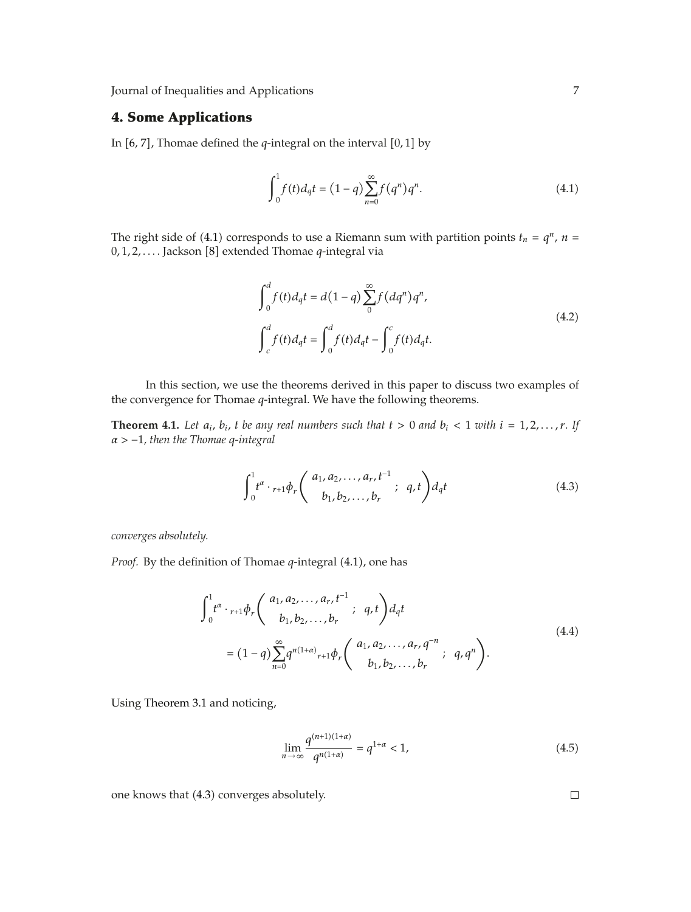### **4. Some Applications**

In  $[6, 7]$ , Thomae defined the  $q$ -integral on the interval  $[0, 1]$  by

$$
\int_0^1 f(t)d_qt = (1-q)\sum_{n=0}^\infty f(q^n)q^n.
$$
\n(4.1)

The right side of (4.1) corresponds to use a Riemann sum with partition points  $t_n = q^n$ ,  $n =$ 0, 1, 2, .... Jackson [8] extended Thomae *q*-integral via

$$
\int_{0}^{d} f(t) d_{q}t = d(1-q) \sum_{0}^{\infty} f(dq^{n}) q^{n},
$$
\n
$$
\int_{c}^{d} f(t) d_{q}t = \int_{0}^{d} f(t) d_{q}t - \int_{0}^{c} f(t) d_{q}t.
$$
\n(4.2)

In this section, we use the theorems derived in this paper to discuss two examples of the convergence for Thomae *q*-integral. We have the following theorems.

**Theorem 4.1.** Let  $a_i$ ,  $b_i$ ,  $t$  be any real numbers such that  $t > 0$  and  $b_i < 1$  with  $i = 1, 2, ..., r$ . If *α >* <sup>−</sup>1*, then the Thomae <sup>q</sup>-integral*

$$
\int_0^1 t^{\alpha} \cdot {}_{r+1} \phi_r \binom{a_1, a_2, \dots, a_r, t^{-1}}{b_1, b_2, \dots, b_r}; \ q, t \bigg) d_q t \tag{4.3}
$$

*converges absolutely.*

*Proof.* By the definition of Thomae *q*-integral (4.1), one has

$$
\int_{0}^{1} t^{\alpha} \cdot {}_{r+1} \phi_{r} \left( \begin{array}{c} a_{1}, a_{2}, \ldots, a_{r}, t^{-1} \\ b_{1}, b_{2}, \ldots, b_{r} \end{array} ; \ q, t \right) d_{q} t
$$
\n
$$
= (1-q) \sum_{n=0}^{\infty} q^{n(1+\alpha)} {}_{r+1} \phi_{r} \left( \begin{array}{c} a_{1}, a_{2}, \ldots, a_{r}, q^{-n} \\ b_{1}, b_{2}, \ldots, b_{r} \end{array} ; \ q, q^{n} \right).
$$
\n(4.4)

Using Theorem 3.1 and noticing,

$$
\lim_{n \to \infty} \frac{q^{(n+1)(1+\alpha)}}{q^{n(1+\alpha)}} = q^{1+\alpha} < 1,\tag{4.5}
$$

one knows that (4.3) converges absolutely.

 $\Box$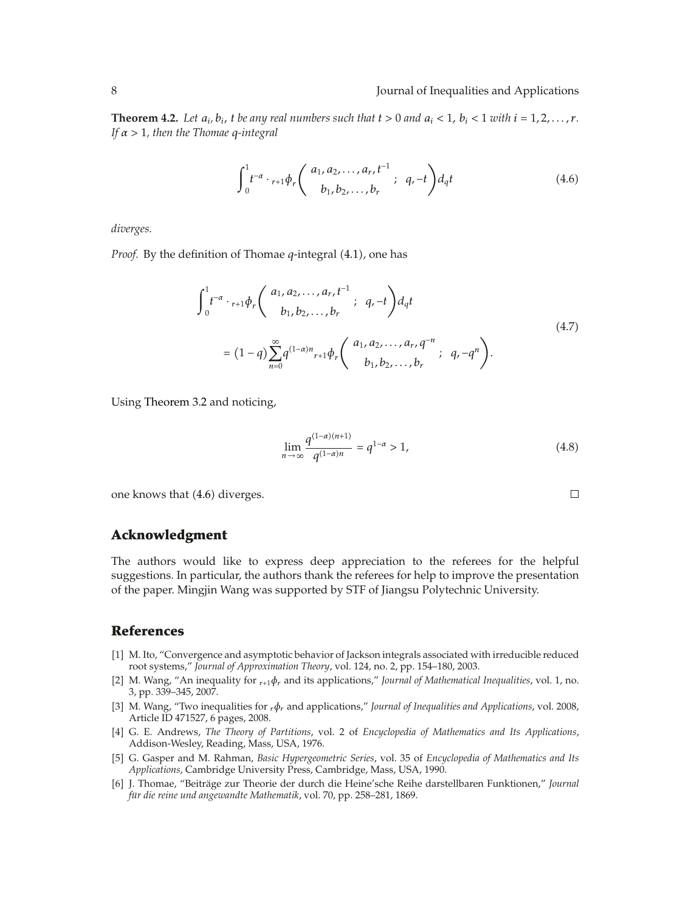**Theorem 4.2.** Let  $a_i$ ,  $b_i$ ,  $t$  be any real numbers such that  $t > 0$  and  $a_i < 1$ ,  $b_i < 1$  with  $i = 1, 2, ..., r$ . *If α >* 1*, then the Thomae q-integral*

$$
\int_0^1 t^{-\alpha} \cdot {}_{r+1} \phi_r \binom{a_1, a_2, \dots, a_r, t^{-1}}{b_1, b_2, \dots, b_r}; \quad q, -t \bigg) d_q t \tag{4.6}
$$

*diverges.*

*Proof.* By the definition of Thomae *q*-integral (4.1), one has

$$
\int_{0}^{1} t^{-\alpha} \cdot {}_{r+1} \phi_{r} \left( \begin{array}{c} a_{1}, a_{2}, \ldots, a_{r}, t^{-1} \\ b_{1}, b_{2}, \ldots, b_{r} \end{array} ; q, -t \right) d_{q} t
$$
\n
$$
= (1-q) \sum_{n=0}^{\infty} q^{(1-\alpha)n} {}_{r+1} \phi_{r} \left( \begin{array}{c} a_{1}, a_{2}, \ldots, a_{r}, q^{-n} \\ b_{1}, b_{2}, \ldots, b_{r} \end{array} ; q, -q^{n} \right).
$$
\n(4.7)

Using Theorem 3.2 and noticing,

$$
\lim_{n \to \infty} \frac{q^{(1-\alpha)(n+1)}}{q^{(1-\alpha)n}} = q^{1-\alpha} > 1,
$$
\n(4.8)

 $\Box$ 

one knows that  $(4.6)$  diverges.

#### **Acknowledgment**

The authors would like to express deep appreciation to the referees for the helpful suggestions. In particular, the authors thank the referees for help to improve the presentation of the paper. Mingjin Wang was supported by STF of Jiangsu Polytechnic University.

#### **References**

- 1 M. Ito, "Convergence and asymptotic behavior of Jackson integrals associated with irreducible reduced root systems," *Journal of Approximation Theory*, vol. 124, no. 2, pp. 154–180, 2003.
- [2] M. Wang, "An inequality for  $r_{r+1}$ φ<sub>r</sub> and its applications," *Journal of Mathematical Inequalities*, vol. 1, no. 3, pp. 339–345, 2007.
- 3 M. Wang, "Two inequalities for *rφr* and applications," *Journal of Inequalities and Applications*, vol. 2008, Article ID 471527, 6 pages, 2008.
- 4 G. E. Andrews, *The Theory of Partitions*, vol. 2 of *Encyclopedia of Mathematics and Its Applications*, Addison-Wesley, Reading, Mass, USA, 1976.
- 5 G. Gasper and M. Rahman, *Basic Hypergeometric Series*, vol. 35 of *Encyclopedia of Mathematics and Its Applications*, Cambridge University Press, Cambridge, Mass, USA, 1990.
- [6] J. Thomae, "Beiträge zur Theorie der durch die Heine'sche Reihe darstellbaren Funktionen," *Journal für die reine und angewandte Mathematik*, vol. 70, pp. 258–281, 1869.